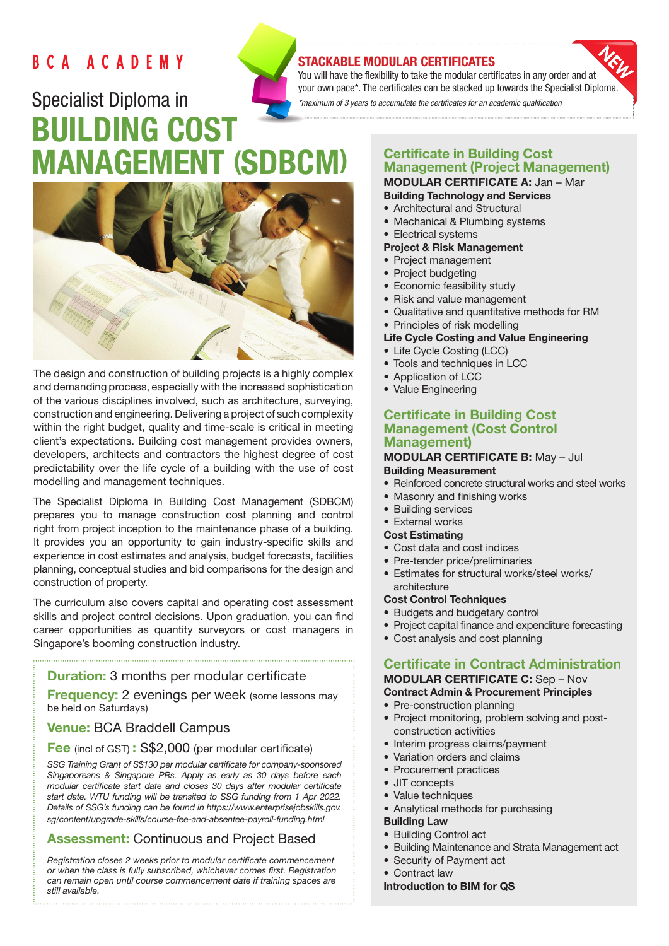# BCA ACADEMY

# Specialist Diploma in BUILDING COST MANAGEMENT (SDBCM)



The design and construction of building projects is a highly complex and demanding process, especially with the increased sophistication of the various disciplines involved, such as architecture, surveying, construction and engineering. Delivering a project of such complexity within the right budget, quality and time-scale is critical in meeting client's expectations. Building cost management provides owners, developers, architects and contractors the highest degree of cost predictability over the life cycle of a building with the use of cost modelling and management techniques.

The Specialist Diploma in Building Cost Management (SDBCM) prepares you to manage construction cost planning and control right from project inception to the maintenance phase of a building. It provides you an opportunity to gain industry-specific skills and experience in cost estimates and analysis, budget forecasts, facilities planning, conceptual studies and bid comparisons for the design and construction of property.

The curriculum also covers capital and operating cost assessment skills and project control decisions. Upon graduation, you can find career opportunities as quantity surveyors or cost managers in Singapore's booming construction industry.

# **Duration:** 3 months per modular certificate

**Frequency:** 2 evenings per week (some lessons may be held on Saturdays)

# Venue: BCA Braddell Campus

#### Fee (incl of GST): S\$2,000 (per modular certificate)

*SSG Training Grant of S\$130 per modular certificate for company-sponsored Singaporeans & Singapore PRs. Apply as early as 30 days before each modular certificate start date and closes 30 days after modular certificate start date. WTU funding will be transited to SSG funding from 1 Apr 2022. Details of SSG's funding can be found in https://www.enterprisejobskills.gov. sg/content/upgrade-skills/course-fee-and-absentee-payroll-funding.html*

# Assessment: Continuous and Project Based

*Registration closes 2 weeks prior to modular certificate commencement or when the class is fully subscribed, whichever comes first. Registration can remain open until course commencement date if training spaces are still available.*

# STACKABLE MODULAR CERTIFICATES

You will have the flexibility to take the modular certificates in any order and at your own pace\*. The certificates can be stacked up towards the Specialist Diploma. *\*maximum of 3 years to accumulate the certificates for an academic qualification* 

#### Certificate in Building Cost Management (Project Management) MODULAR CERTIFICATE A: Jan – Mar

- Building Technology and Services
- Architectural and Structural
- Mechanical & Plumbing systems
- Electrical systems

### Project & Risk Management

- Project management
- Project budgeting
- Economic feasibility study
- Risk and value management
- Qualitative and quantitative methods for RM
- Principles of risk modelling

#### Life Cycle Costing and Value Engineering

- Life Cycle Costing (LCC)
- Tools and techniques in LCC
- Application of LCC
- Value Engineering

#### Certificate in Building Cost Management (Cost Control Management)

#### MODULAR CERTIFICATE B: May – Jul Building Measurement

- Reinforced concrete structural works and steel works
- Masonry and finishing works
- Building services
- External works

#### Cost Estimating

- Cost data and cost indices
- Pre-tender price/preliminaries
- Estimates for structural works/steel works/ architecture

#### Cost Control Techniques

- Budgets and budgetary control
- Project capital finance and expenditure forecasting
- Cost analysis and cost planning

# Certificate in Contract Administration

#### MODULAR CERTIFICATE C: Sep – Nov Contract Admin & Procurement Principles

- Pre-construction planning
- Project monitoring, problem solving and postconstruction activities
- Interim progress claims/payment
- Variation orders and claims
- Procurement practices
- JIT concepts
- Value techniques
- Analytical methods for purchasing

#### Building Law

- Building Control act
- Building Maintenance and Strata Management act
- Security of Payment act
- Contract law

# Introduction to BIM for QS